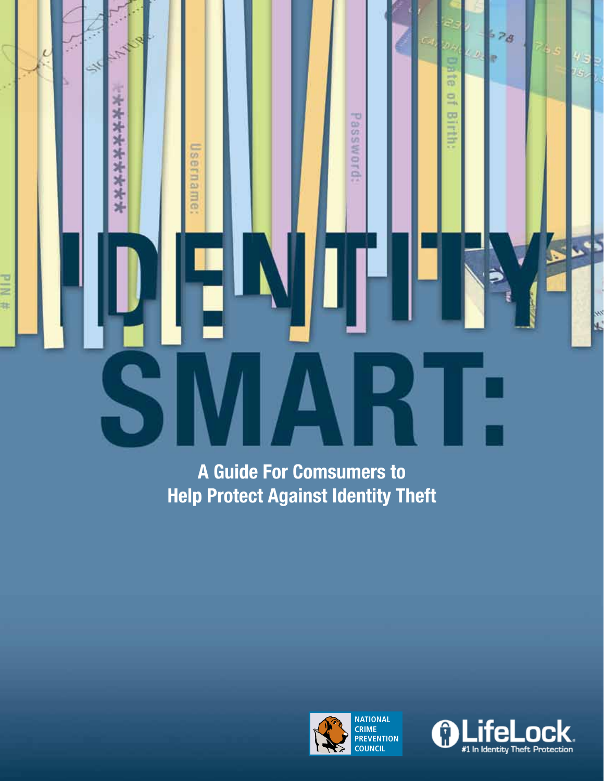$\mathcal{F}_{\lambda}$ 

\*\*\*\*\*\*\*\*\*

Username:

ىد

 $\overline{c}$ 

# Nid

**A Guide For Comsumers to Help Protect Against Identity Theft**





 $-28$ 

ie

4<br>15

 $\overline{\mathbf{L}}$ 

 $\blacktriangleright$ 

 $\boldsymbol{L}$ 

**Date** 

 $\Box$ 

**Birth:** 

Password: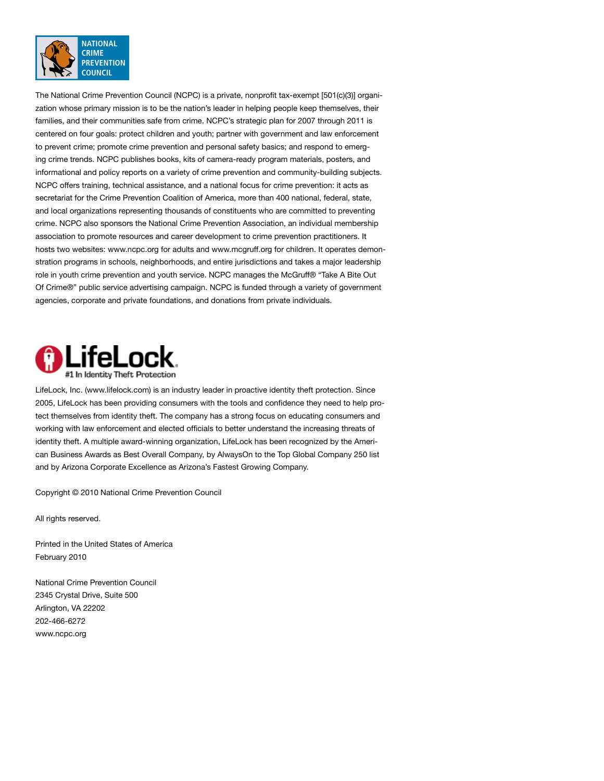

The National Crime Prevention Council (NCPC) is a private, nonprofit tax-exempt [501(c)(3)] organization whose primary mission is to be the nation's leader in helping people keep themselves, their families, and their communities safe from crime. NCPC's strategic plan for 2007 through 2011 is centered on four goals: protect children and youth; partner with government and law enforcement to prevent crime; promote crime prevention and personal safety basics; and respond to emerging crime trends. NCPC publishes books, kits of camera-ready program materials, posters, and informational and policy reports on a variety of crime prevention and community-building subjects. NCPC offers training, technical assistance, and a national focus for crime prevention: it acts as secretariat for the Crime Prevention Coalition of America, more than 400 national, federal, state, and local organizations representing thousands of constituents who are committed to preventing crime. NCPC also sponsors the National Crime Prevention Association, an individual membership association to promote resources and career development to crime prevention practitioners. It hosts two websites: www.ncpc.org for adults and www.mcgruff.org for children. It operates demonstration programs in schools, neighborhoods, and entire jurisdictions and takes a major leadership role in youth crime prevention and youth service. NCPC manages the McGruff® "Take A Bite Out Of Crime®" public service advertising campaign. NCPC is funded through a variety of government agencies, corporate and private foundations, and donations from private individuals.



LifeLock, Inc. (www.lifelock.com) is an industry leader in proactive identity theft protection. Since 2005, LifeLock has been providing consumers with the tools and confidence they need to help protect themselves from identity theft. The company has a strong focus on educating consumers and working with law enforcement and elected officials to better understand the increasing threats of identity theft. A multiple award-winning organization, LifeLock has been recognized by the American Business Awards as Best Overall Company, by AlwaysOn to the Top Global Company 250 list and by Arizona Corporate Excellence as Arizona's Fastest Growing Company.

Copyright © 2010 National Crime Prevention Council

All rights reserved.

Printed in the United States of America February 2010

National Crime Prevention Council 2345 Crystal Drive, Suite 500 Arlington, VA 22202 202-466-6272 www.ncpc.org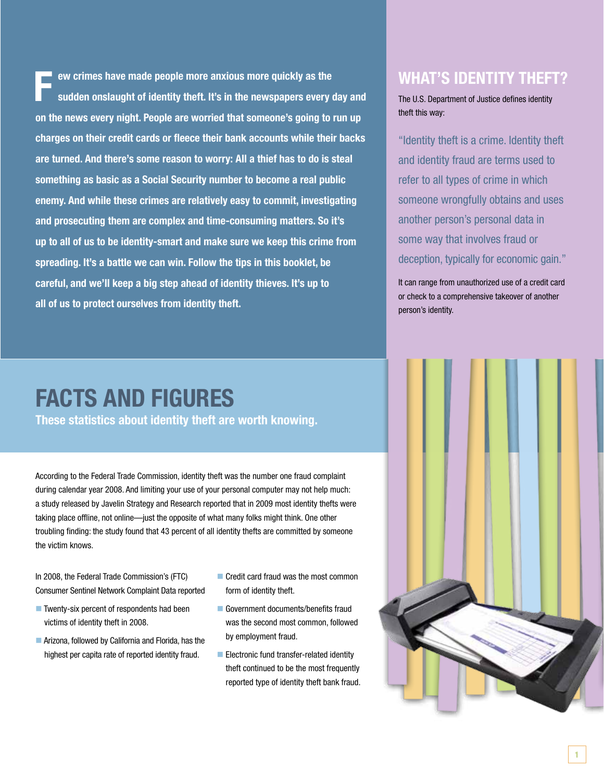**ew crimes have made people more anxious more quickly as the sudden onslaught of identity theft. It's in the newspapers every day and on the news every night. People are worried that someone's going to run up charges on their credit cards or fleece their bank accounts while their backs are turned. And there's some reason to worry: All a thief has to do is steal something as basic as a Social Security number to become a real public enemy. And while these crimes are relatively easy to commit, investigating and prosecuting them are complex and time-consuming matters. So it's up to all of us to be identity-smart and make sure we keep this crime from spreading. It's a battle we can win. Follow the tips in this booklet, be careful, and we'll keep a big step ahead of identity thieves. It's up to all of us to protect ourselves from identity theft. F**

## **WHAT'S IDENTITY THEFT?**

The U.S. Department of Justice defines identity theft this way:

"Identity theft is a crime. Identity theft and identity fraud are terms used to refer to all types of crime in which someone wrongfully obtains and uses another person's personal data in some way that involves fraud or deception, typically for economic gain."

It can range from unauthorized use of a credit card or check to a comprehensive takeover of another person's identity.

# **FACTS AND FIGURES**

**These statistics about identity theft are worth knowing.** 

According to the Federal Trade Commission, identity theft was the number one fraud complaint during calendar year 2008. And limiting your use of your personal computer may not help much: a study released by Javelin Strategy and Research reported that in 2009 most identity thefts were taking place offline, not online—just the opposite of what many folks might think. One other troubling finding: the study found that 43 percent of all identity thefts are committed by someone the victim knows.

In 2008, the Federal Trade Commission's (FTC) Consumer Sentinel Network Complaint Data reported

- $\blacksquare$  Twenty-six percent of respondents had been victims of identity theft in 2008.
- Arizona, followed by California and Florida, has the highest per capita rate of reported identity fraud.
- $\blacksquare$  Credit card fraud was the most common form of identity theft.
- Government documents/benefits fraud was the second most common, followed by employment fraud.
- $\blacksquare$  Electronic fund transfer-related identity theft continued to be the most frequently reported type of identity theft bank fraud.

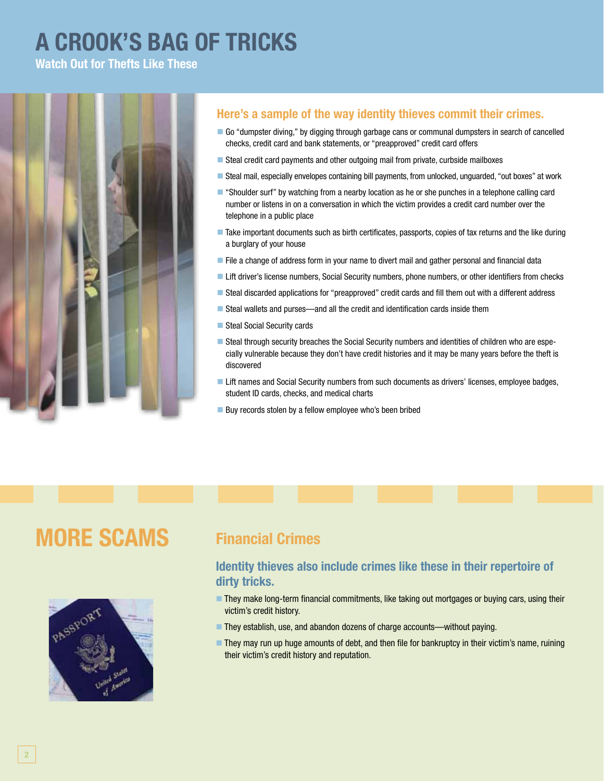# **A CROOK'S BAG OF TRICKS**

**Watch Out for Thefts Like These**



## **Here's a sample of the way identity thieves commit their crimes.**

- n Go "dumpster diving," by digging through garbage cans or communal dumpsters in search of cancelled checks, credit card and bank statements, or "preapproved" credit card offers
- $\blacksquare$  Steal credit card payments and other outgoing mail from private, curbside mailboxes
- n Steal mail, especially envelopes containing bill payments, from unlocked, unguarded, "out boxes" at work
- n "Shoulder surf" by watching from a nearby location as he or she punches in a telephone calling card number or listens in on a conversation in which the victim provides a credit card number over the telephone in a public place
- n Take important documents such as birth certificates, passports, copies of tax returns and the like during a burglary of your house
- File a change of address form in your name to divert mail and gather personal and financial data
- Lift driver's license numbers, Social Security numbers, phone numbers, or other identifiers from checks
- Steal discarded applications for "preapproved" credit cards and fill them out with a different address
- Steal wallets and purses—and all the credit and identification cards inside them
- Steal Social Security cards
- **Example 3 Steal through security breaches the Social Security numbers and identities of children who are espe**cially vulnerable because they don't have credit histories and it may be many years before the theft is discovered
- Lift names and Social Security numbers from such documents as drivers' licenses, employee badges, student ID cards, checks, and medical charts
- Buy records stolen by a fellow employee who's been bribed

## **MORE SCAMS** Financial Crimes



### **Identity thieves also include crimes like these in their repertoire of dirty tricks.**

- **n They make long-term financial commitments, like taking out mortgages or buying cars, using their** victim's credit history.
- They establish, use, and abandon dozens of charge accounts—without paying.
- **n They may run up huge amounts of debt, and then file for bankruptcy in their victim's name, ruining** their victim's credit history and reputation.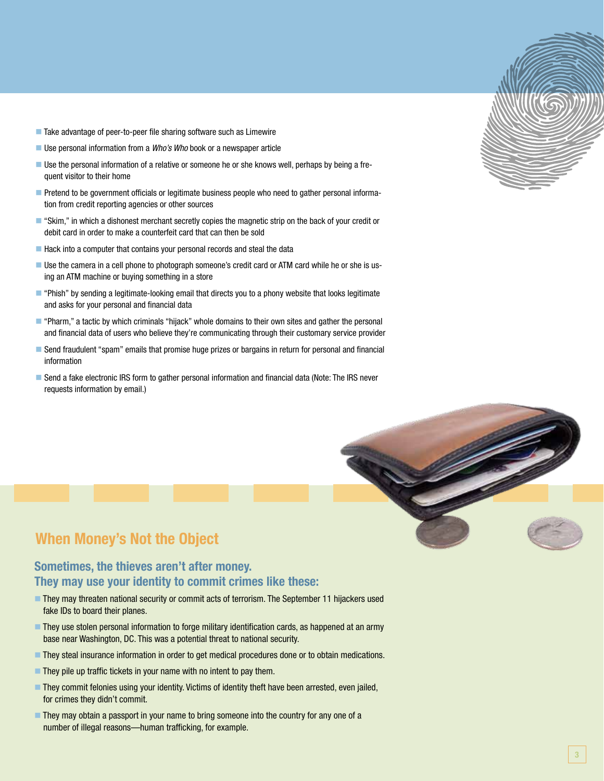- $\blacksquare$  Take advantage of peer-to-peer file sharing software such as Limewire
- Use personal information from a *Who's Who* book or a newspaper article
- **Duse the personal information of a relative or someone he or she knows well, perhaps by being a fre**quent visitor to their home
- **n** Pretend to be government officials or legitimate business people who need to gather personal information from credit reporting agencies or other sources
- **n** "Skim," in which a dishonest merchant secretly copies the magnetic strip on the back of your credit or debit card in order to make a counterfeit card that can then be sold
- Hack into a computer that contains your personal records and steal the data
- n Use the camera in a cell phone to photograph someone's credit card or ATM card while he or she is using an ATM machine or buying something in a store
- **n** "Phish" by sending a legitimate-looking email that directs you to a phony website that looks legitimate and asks for your personal and financial data
- **n** "Pharm," a tactic by which criminals "hijack" whole domains to their own sites and gather the personal and financial data of users who believe they're communicating through their customary service provider
- **n** Send fraudulent "spam" emails that promise huge prizes or bargains in return for personal and financial information
- **B** Send a fake electronic IRS form to gather personal information and financial data (Note: The IRS never requests information by email.)



## **When Money's Not the Object**

## **Sometimes, the thieves aren't after money. They may use your identity to commit crimes like these:**

- **n They may threaten national security or commit acts of terrorism. The September 11 hijackers used** fake IDs to board their planes.
- n They use stolen personal information to forge military identification cards, as happened at an army base near Washington, DC. This was a potential threat to national security.
- **n** They steal insurance information in order to get medical procedures done or to obtain medications.
- $\blacksquare$  They pile up traffic tickets in your name with no intent to pay them.
- **n** They commit felonies using your identity. Victims of identity theft have been arrested, even jailed, for crimes they didn't commit.
- **n** They may obtain a passport in your name to bring someone into the country for any one of a number of illegal reasons—human trafficking, for example.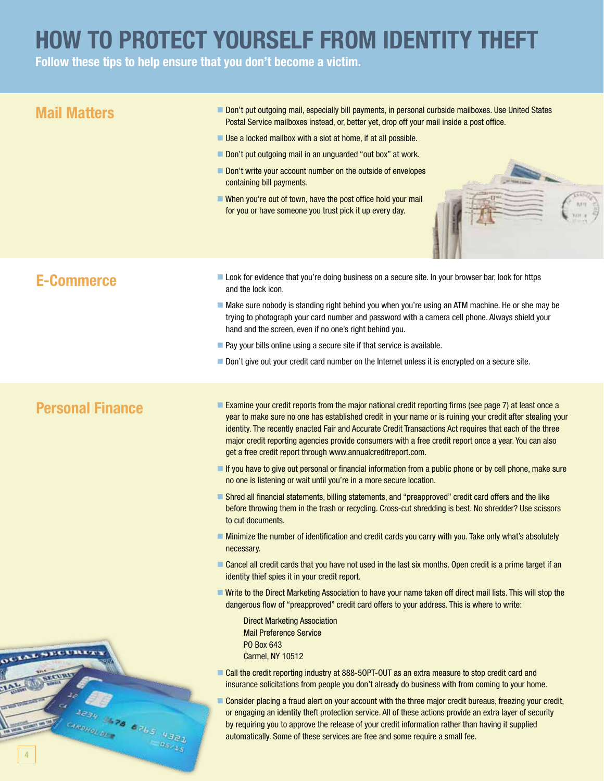# **HOW TO PROTECT YOURSELF FROM IDENTITY THEFT**

**Follow these tips to help ensure that you don't become a victim.**

## ■ Examine your credit reports from the major national credit reporting firms (see page 7) at least once a year to make sure no one has established credit in your name or is ruining your credit after stealing your identity. The recently enacted Fair and Accurate Credit Transactions Act requires that each of the three major credit reporting agencies provide consumers with a free credit report once a year. You can also get a free credit report through www.annualcreditreport.com. **n** If you have to give out personal or financial information from a public phone or by cell phone, make sure no one is listening or wait until you're in a more secure location. n Shred all financial statements, billing statements, and "preapproved" credit card offers and the like before throwing them in the trash or recycling. Cross-cut shredding is best. No shredder? Use scissors to cut documents. **n Minimize the number of identification and credit cards you carry with you. Take only what's absolutely** necessary. ■ Cancel all credit cards that you have not used in the last six months. Open credit is a prime target if an identity thief spies it in your credit report. **Notation Write to the Direct Marketing Association to have your name taken off direct mail lists. This will stop the** dangerous flow of "preapproved" credit card offers to your address. This is where to write: Direct Marketing Association Mail Preference Service PO Box 643 Carmel, NY 10512 **Mail Matters** networks and Don't put outgoing mail, especially bill payments, in personal curbside mailboxes. Use United States Postal Service mailboxes instead, or, better yet, drop off your mail inside a post office.  $\blacksquare$  Use a locked mailbox with a slot at home, if at all possible. Don't put outgoing mail in an unguarded "out box" at work. Don't write your account number on the outside of envelopes containing bill payments.  $\blacksquare$  When you're out of town, have the post office hold your mail for you or have someone you trust pick it up every day. **E-Commerce now the Look for evidence that you're doing business on a secure site. In your browser bar, look for https** and the lock icon.  $\blacksquare$  Make sure nobody is standing right behind you when you're using an ATM machine. He or she may be trying to photograph your card number and password with a camera cell phone. Always shield your hand and the screen, even if no one's right behind you.  $\blacksquare$  Pay your bills online using a secure site if that service is available. Don't give out your credit card number on the Internet unless it is encrypted on a secure site. **Personal Finance**

- Call the credit reporting industry at 888-50PT-OUT as an extra measure to stop credit card and insurance solicitations from people you don't already do business with from coming to your home.
- **n** Consider placing a fraud alert on your account with the three major credit bureaus, freezing your credit, or engaging an identity theft protection service. All of these actions provide an extra layer of security by requiring you to approve the release of your credit information rather than having it supplied automatically. Some of these services are free and some require a small fee.

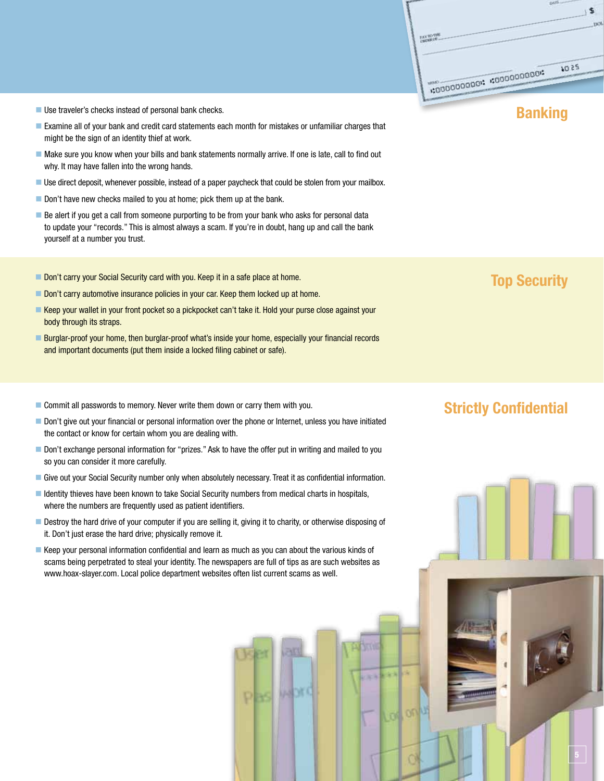\$ **PAY TO THE**  $2501$ 

### **Example 1** Use traveler's checks instead of personal bank checks.

- **Examine all of your bank and credit card statements each month for mistakes or unfamiliar charges that** might be the sign of an identity thief at work.
- $\blacksquare$  Make sure you know when your bills and bank statements normally arrive. If one is late, call to find out why. It may have fallen into the wrong hands.
- **Duse direct deposit, whenever possible, instead of a paper paycheck that could be stolen from your mailbox.**
- $\blacksquare$  Don't have new checks mailed to you at home; pick them up at the bank.
- **Be alert if you get a call from someone purporting to be from your bank who asks for personal data** to update your "records." This is almost always a scam. If you're in doubt, hang up and call the bank yourself at a number you trust.
- **Top Security Carry your Social Security card with you. Keep it in a safe place at home.**
- Don't carry automotive insurance policies in your car. Keep them locked up at home.
- Keep your wallet in your front pocket so a pickpocket can't take it. Hold your purse close against your body through its straps.
- Burglar-proof your home, then burglar-proof what's inside your home, especially your financial records and important documents (put them inside a locked filing cabinet or safe).
- **Commit all passwords to memory. Never write them down or carry them with you. Strictly Confidential**
- Don't give out your financial or personal information over the phone or Internet, unless you have initiated the contact or know for certain whom you are dealing with.
- Don't exchange personal information for "prizes." Ask to have the offer put in writing and mailed to you so you can consider it more carefully.
- n Give out your Social Security number only when absolutely necessary. Treat it as confidential information.
- I Identity thieves have been known to take Social Security numbers from medical charts in hospitals, where the numbers are frequently used as patient identifiers.
- **Destroy the hard drive of your computer if you are selling it, giving it to charity, or otherwise disposing of** it. Don't just erase the hard drive; physically remove it.
- n Keep your personal information confidential and learn as much as you can about the various kinds of scams being perpetrated to steal your identity. The newspapers are full of tips as are such websites as www.hoax-slayer.com. Local police department websites often list current scams as well.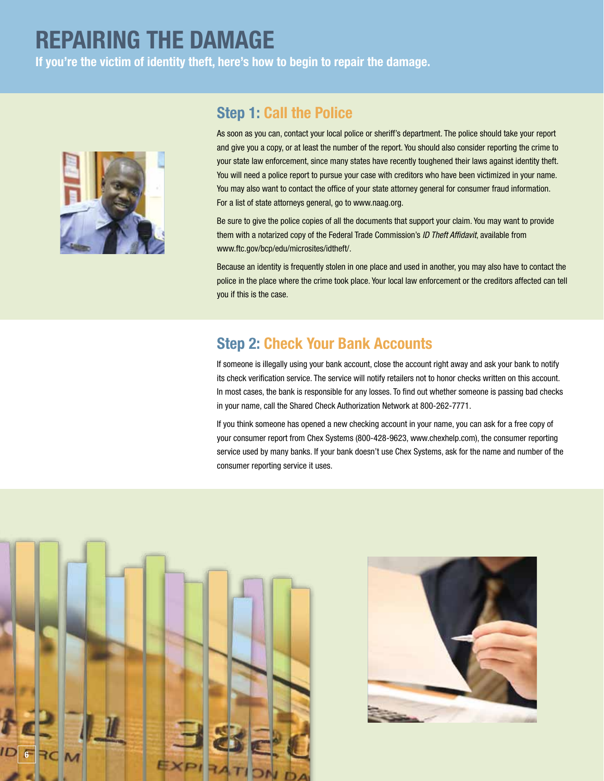## **REPAIRING THE DAMAGE If you're the victim of identity theft, here's how to begin to repair the damage.**



## **Step 1: Call the Police**

As soon as you can, contact your local police or sheriff's department. The police should take your report and give you a copy, or at least the number of the report. You should also consider reporting the crime to your state law enforcement, since many states have recently toughened their laws against identity theft. You will need a police report to pursue your case with creditors who have been victimized in your name. You may also want to contact the office of your state attorney general for consumer fraud information. For a list of state attorneys general, go to www.naag.org.

Be sure to give the police copies of all the documents that support your claim. You may want to provide them with a notarized copy of the Federal Trade Commission's *ID Theft Affidavit*, available from www.ftc.gov/bcp/edu/microsites/idtheft/.

Because an identity is frequently stolen in one place and used in another, you may also have to contact the police in the place where the crime took place. Your local law enforcement or the creditors affected can tell you if this is the case.

## **Step 2: Check Your Bank Accounts**

If someone is illegally using your bank account, close the account right away and ask your bank to notify its check verification service. The service will notify retailers not to honor checks written on this account. In most cases, the bank is responsible for any losses. To find out whether someone is passing bad checks in your name, call the Shared Check Authorization Network at 800-262-7771.

If you think someone has opened a new checking account in your name, you can ask for a free copy of your consumer report from Chex Systems (800-428-9623, www.chexhelp.com), the consumer reporting service used by many banks. If your bank doesn't use Chex Systems, ask for the name and number of the consumer reporting service it uses.



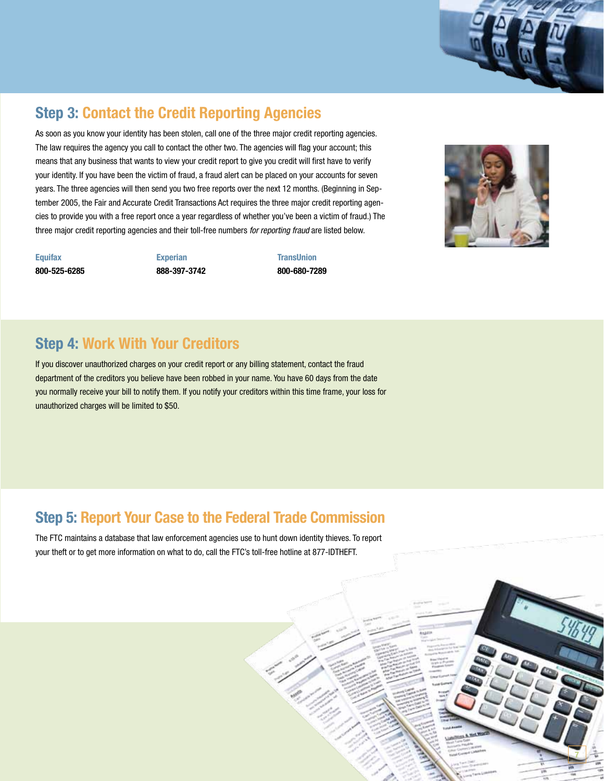## **Step 3: Contact the Credit Reporting Agencies**

As soon as you know your identity has been stolen, call one of the three major credit reporting agencies. The law requires the agency you call to contact the other two. The agencies will flag your account; this means that any business that wants to view your credit report to give you credit will first have to verify your identity. If you have been the victim of fraud, a fraud alert can be placed on your accounts for seven years. The three agencies will then send you two free reports over the next 12 months. (Beginning in September 2005, the Fair and Accurate Credit Transactions Act requires the three major credit reporting agencies to provide you with a free report once a year regardless of whether you've been a victim of fraud.) The three major credit reporting agencies and their toll-free numbers *for reporting fraud* are listed below.

**Equifax 800-525-6285**  **Experian 888-397-3742**  **TransUnion 800-680-7289**



**7**

## **Step 4: Work With Your Creditors**

If you discover unauthorized charges on your credit report or any billing statement, contact the fraud department of the creditors you believe have been robbed in your name. You have 60 days from the date you normally receive your bill to notify them. If you notify your creditors within this time frame, your loss for unauthorized charges will be limited to \$50.

## **Step 5: Report Your Case to the Federal Trade Commission**

The FTC maintains a database that law enforcement agencies use to hunt down identity thieves. To report your theft or to get more information on what to do, call the FTC's toll-free hotline at 877-IDTHEFT.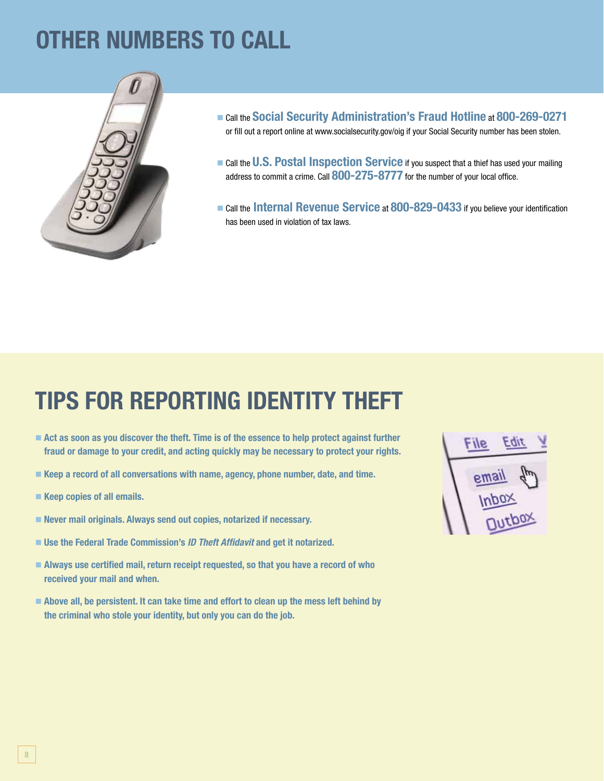# **Other Numbers To Call**



- <sup>n</sup> Call the **Social Security Administration's Fraud Hotline** at **800-269-0271** or fill out a report online at www.socialsecurity.gov/oig if your Social Security number has been stolen.
- **n** Call the **U.S. Postal Inspection Service** if you suspect that a thief has used your mailing address to commit a crime. Call **800-275-8777** for the number of your local office.
- <sup>n</sup> Call the **Internal Revenue Service** at **800-829-0433** if you believe your identification has been used in violation of tax laws.

# **Tips for Reporting Identity Theft**

- Act as soon as you discover the theft. Time is of the essence to help protect against further **fraud or damage to your credit, and acting quickly may be necessary to protect your rights.**
- Keep a record of all conversations with name, agency, phone number, date, and time.
- Keep copies of all emails.
- Never mail originals. Always send out copies, notarized if necessary.
- Use the Federal Trade Commission's *ID Theft Affidavit* and get it notarized.
- Always use certified mail, return receipt requested, so that you have a record of who **received your mail and when.**
- Above all, be persistent. It can take time and effort to clean up the mess left behind by **the criminal who stole your identity, but only you can do the job.**

File EQIL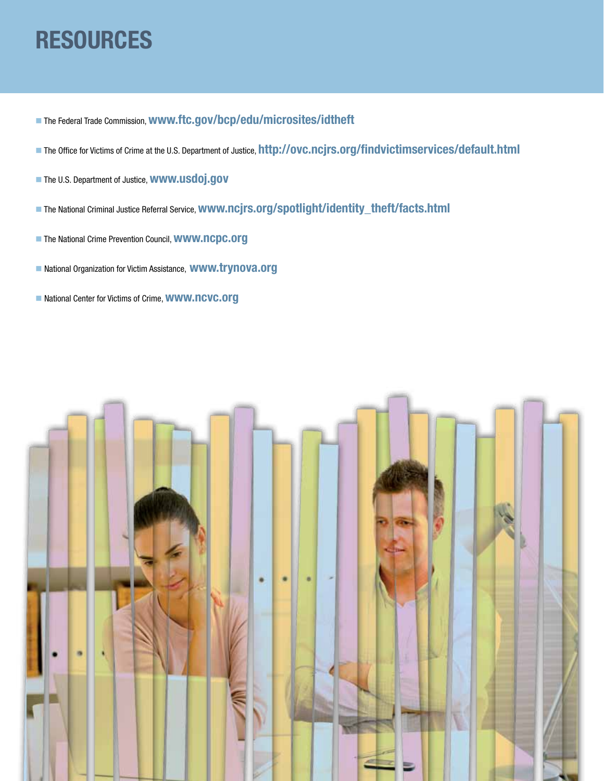# **Resources**

- <sup>n</sup> The Federal Trade Commission, **www.ftc.gov/bcp/edu/microsites/idtheft**
- <sup>n</sup> The Office for Victims of Crime at the U.S. Department of Justice, **http://ovc.ncjrs.org/findvictimservices/default.html**
- <sup>n</sup> The U.S. Department of Justice, **www.usdoj.gov**
- <sup>n</sup> The National Criminal Justice Referral Service, **www.ncjrs.org/spotlight/identity\_theft/facts.html**
- <sup>n</sup> The National Crime Prevention Council, **www.ncpc.org**
- <sup>n</sup> National Organization for Victim Assistance, **www.trynova.org**
- National Center for Victims of Crime, **WWW.nCVC.Org**